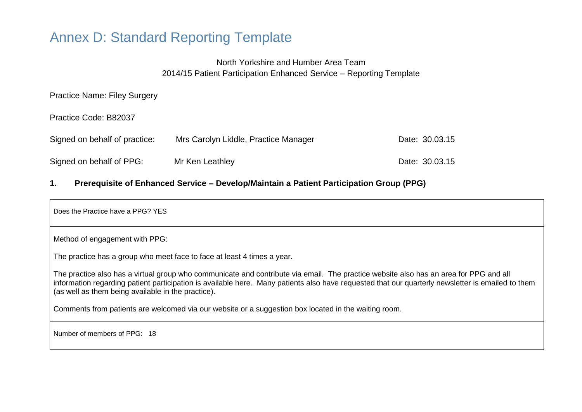# Annex D: Standard Reporting Template

# North Yorkshire and Humber Area Team 2014/15 Patient Participation Enhanced Service – Reporting Template

Practice Name: Filey Surgery

Practice Code: B82037

| Signed on behalf of practice: | Mrs Carolyn Liddle, Practice Manager | Date: 30.03.15 |
|-------------------------------|--------------------------------------|----------------|
| Signed on behalf of PPG:      | Mr Ken Leathley                      | Date: 30.03.15 |

## **1. Prerequisite of Enhanced Service – Develop/Maintain a Patient Participation Group (PPG)**

Does the Practice have a PPG? YES Method of engagement with PPG: The practice has a group who meet face to face at least 4 times a year. The practice also has a virtual group who communicate and contribute via email. The practice website also has an area for PPG and all information regarding patient participation is available here. Many patients also have requested that our quarterly newsletter is emailed to them (as well as them being available in the practice). Comments from patients are welcomed via our website or a suggestion box located in the waiting room. Number of members of PPG: 18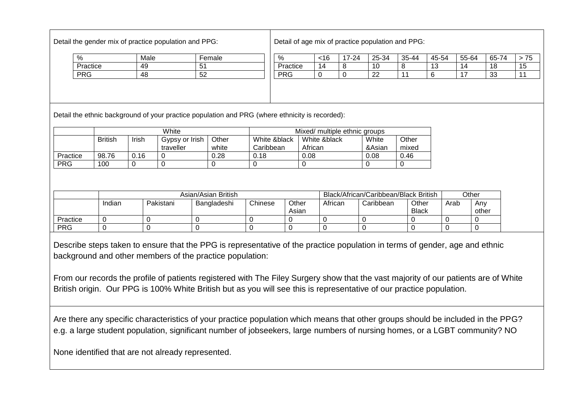Detail the gender mix of practice population and PPG:

Detail of age mix of practice population and PPG:

| $\frac{0}{0}$ | Male | Female |
|---------------|------|--------|
| Practice      | 49   | 51     |
| <b>PRG</b>    | 48   | 52     |

| $\%$       | <16 | 17-24 | 25-34 | $35 - 44$ | 45-54 | 55-64 | 65-74 | 75 |
|------------|-----|-------|-------|-----------|-------|-------|-------|----|
| Practice   | 14  | Ο     | 10    | 8         | 13    | 14    | 18    | 15 |
| <b>PRG</b> |     |       | つつ    |           |       | –     | 33    |    |
|            |     |       |       |           |       |       |       |    |
|            |     |       |       |           |       |       |       |    |
|            |     |       |       |           |       |       |       |    |

Detail the ethnic background of your practice population and PRG (where ethnicity is recorded):

|            | White          |       |                             | Mixed/ multiple ethnic groups |                           |                         |                 |                |
|------------|----------------|-------|-----------------------------|-------------------------------|---------------------------|-------------------------|-----------------|----------------|
|            | <b>British</b> | Irish | Gypsy or Irish<br>traveller | Other<br>white                | White &black<br>Caribbean | White &black<br>African | White<br>&Asian | Other<br>mixed |
| Practice   | 98.76          | 0.16  |                             | 0.28                          | 0.18                      | 0.08                    | 0.08            | 0.46           |
| <b>PRG</b> | 100            |       |                             |                               |                           |                         |                 |                |

|            | Asian/Asian British |           |             |         | Black/African/Caribbean/Black British |         |           | Other                 |      |              |
|------------|---------------------|-----------|-------------|---------|---------------------------------------|---------|-----------|-----------------------|------|--------------|
|            | Indian              | Pakistani | Bangladeshi | Chinese | Other<br>Asian                        | African | Caribbean | Other<br><b>Black</b> | Arab | Anv<br>other |
| Practice   |                     |           |             |         |                                       |         |           |                       |      |              |
| <b>PRG</b> |                     |           |             |         |                                       |         |           |                       |      |              |

Describe steps taken to ensure that the PPG is representative of the practice population in terms of gender, age and ethnic background and other members of the practice population:

From our records the profile of patients registered with The Filey Surgery show that the vast majority of our patients are of White British origin. Our PPG is 100% White British but as you will see this is representative of our practice population.

Are there any specific characteristics of your practice population which means that other groups should be included in the PPG? e.g. a large student population, significant number of jobseekers, large numbers of nursing homes, or a LGBT community? NO

None identified that are not already represented.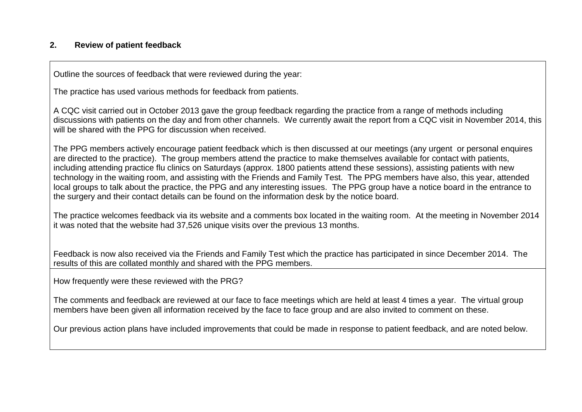# **2. Review of patient feedback**

Outline the sources of feedback that were reviewed during the year:

The practice has used various methods for feedback from patients.

A CQC visit carried out in October 2013 gave the group feedback regarding the practice from a range of methods including discussions with patients on the day and from other channels. We currently await the report from a CQC visit in November 2014, this will be shared with the PPG for discussion when received.

The PPG members actively encourage patient feedback which is then discussed at our meetings (any urgent or personal enquires are directed to the practice). The group members attend the practice to make themselves available for contact with patients, including attending practice flu clinics on Saturdays (approx. 1800 patients attend these sessions), assisting patients with new technology in the waiting room, and assisting with the Friends and Family Test. The PPG members have also, this year, attended local groups to talk about the practice, the PPG and any interesting issues. The PPG group have a notice board in the entrance to the surgery and their contact details can be found on the information desk by the notice board.

The practice welcomes feedback via its website and a comments box located in the waiting room. At the meeting in November 2014 it was noted that the website had 37,526 unique visits over the previous 13 months.

Feedback is now also received via the Friends and Family Test which the practice has participated in since December 2014. The results of this are collated monthly and shared with the PPG members.

How frequently were these reviewed with the PRG?

The comments and feedback are reviewed at our face to face meetings which are held at least 4 times a year. The virtual group members have been given all information received by the face to face group and are also invited to comment on these.

Our previous action plans have included improvements that could be made in response to patient feedback, and are noted below.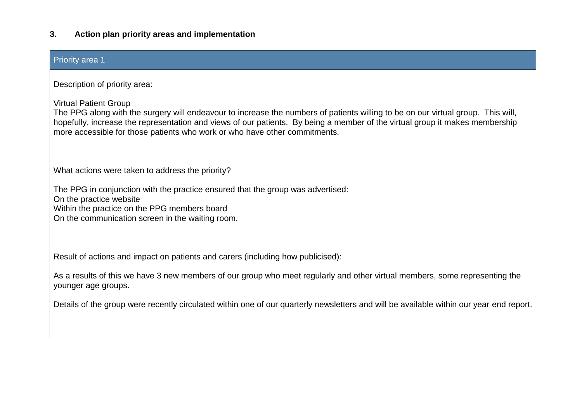### **3. Action plan priority areas and implementation**

# Priority area 1 Description of priority area: Virtual Patient Group The PPG along with the surgery will endeavour to increase the numbers of patients willing to be on our virtual group. This will, hopefully, increase the representation and views of our patients. By being a member of the virtual group it makes membership more accessible for those patients who work or who have other commitments. What actions were taken to address the priority? The PPG in conjunction with the practice ensured that the group was advertised: On the practice website Within the practice on the PPG members board On the communication screen in the waiting room. Result of actions and impact on patients and carers (including how publicised):

As a results of this we have 3 new members of our group who meet regularly and other virtual members, some representing the younger age groups.

Details of the group were recently circulated within one of our quarterly newsletters and will be available within our year end report.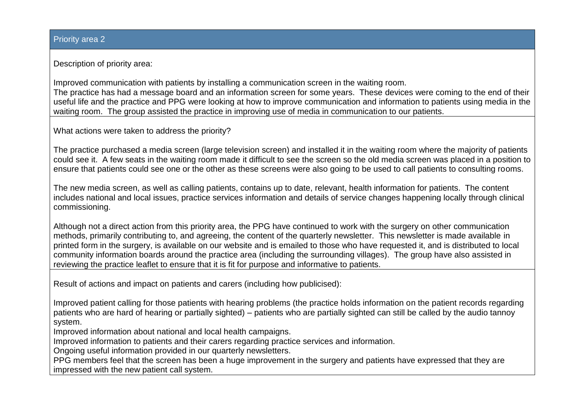### Priority area 2

Description of priority area:

Improved communication with patients by installing a communication screen in the waiting room. The practice has had a message board and an information screen for some years. These devices were coming to the end of their useful life and the practice and PPG were looking at how to improve communication and information to patients using media in the waiting room. The group assisted the practice in improving use of media in communication to our patients.

What actions were taken to address the priority?

The practice purchased a media screen (large television screen) and installed it in the waiting room where the majority of patients could see it. A few seats in the waiting room made it difficult to see the screen so the old media screen was placed in a position to ensure that patients could see one or the other as these screens were also going to be used to call patients to consulting rooms.

The new media screen, as well as calling patients, contains up to date, relevant, health information for patients. The content includes national and local issues, practice services information and details of service changes happening locally through clinical commissioning.

Although not a direct action from this priority area, the PPG have continued to work with the surgery on other communication methods, primarily contributing to, and agreeing, the content of the quarterly newsletter. This newsletter is made available in printed form in the surgery, is available on our website and is emailed to those who have requested it, and is distributed to local community information boards around the practice area (including the surrounding villages). The group have also assisted in reviewing the practice leaflet to ensure that it is fit for purpose and informative to patients.

Result of actions and impact on patients and carers (including how publicised):

Improved patient calling for those patients with hearing problems (the practice holds information on the patient records regarding patients who are hard of hearing or partially sighted) – patients who are partially sighted can still be called by the audio tannoy system.

Improved information about national and local health campaigns.

Improved information to patients and their carers regarding practice services and information.

Ongoing useful information provided in our quarterly newsletters.

PPG members feel that the screen has been a huge improvement in the surgery and patients have expressed that they are impressed with the new patient call system.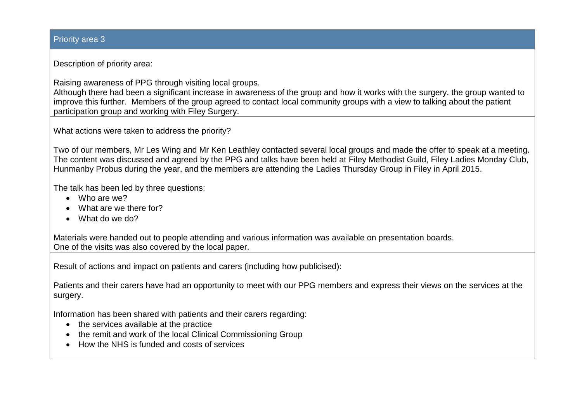### Priority area 3

Description of priority area:

Raising awareness of PPG through visiting local groups.

Although there had been a significant increase in awareness of the group and how it works with the surgery, the group wanted to improve this further. Members of the group agreed to contact local community groups with a view to talking about the patient participation group and working with Filey Surgery.

What actions were taken to address the priority?

Two of our members, Mr Les Wing and Mr Ken Leathley contacted several local groups and made the offer to speak at a meeting. The content was discussed and agreed by the PPG and talks have been held at Filey Methodist Guild, Filey Ladies Monday Club, Hunmanby Probus during the year, and the members are attending the Ladies Thursday Group in Filey in April 2015.

The talk has been led by three questions:

- Who are we?
- What are we there for?
- What do we do?

Materials were handed out to people attending and various information was available on presentation boards. One of the visits was also covered by the local paper.

Result of actions and impact on patients and carers (including how publicised):

Patients and their carers have had an opportunity to meet with our PPG members and express their views on the services at the surgery.

Information has been shared with patients and their carers regarding:

- the services available at the practice
- the remit and work of the local Clinical Commissioning Group
- How the NHS is funded and costs of services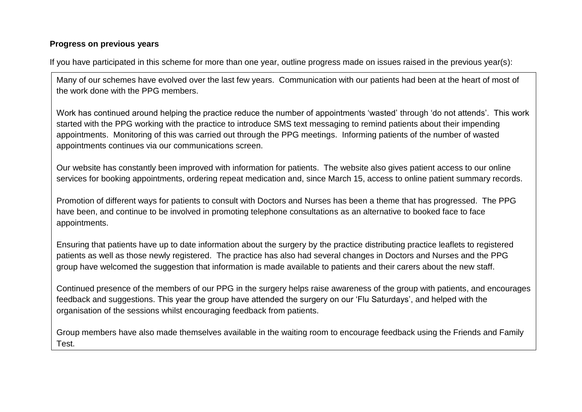## **Progress on previous years**

If you have participated in this scheme for more than one year, outline progress made on issues raised in the previous year(s):

Many of our schemes have evolved over the last few years. Communication with our patients had been at the heart of most of the work done with the PPG members.

Work has continued around helping the practice reduce the number of appointments 'wasted' through 'do not attends'. This work started with the PPG working with the practice to introduce SMS text messaging to remind patients about their impending appointments. Monitoring of this was carried out through the PPG meetings. Informing patients of the number of wasted appointments continues via our communications screen.

Our website has constantly been improved with information for patients. The website also gives patient access to our online services for booking appointments, ordering repeat medication and, since March 15, access to online patient summary records.

Promotion of different ways for patients to consult with Doctors and Nurses has been a theme that has progressed. The PPG have been, and continue to be involved in promoting telephone consultations as an alternative to booked face to face appointments.

Ensuring that patients have up to date information about the surgery by the practice distributing practice leaflets to registered patients as well as those newly registered. The practice has also had several changes in Doctors and Nurses and the PPG group have welcomed the suggestion that information is made available to patients and their carers about the new staff.

Continued presence of the members of our PPG in the surgery helps raise awareness of the group with patients, and encourages feedback and suggestions. This year the group have attended the surgery on our 'Flu Saturdays', and helped with the organisation of the sessions whilst encouraging feedback from patients.

Group members have also made themselves available in the waiting room to encourage feedback using the Friends and Family Test.